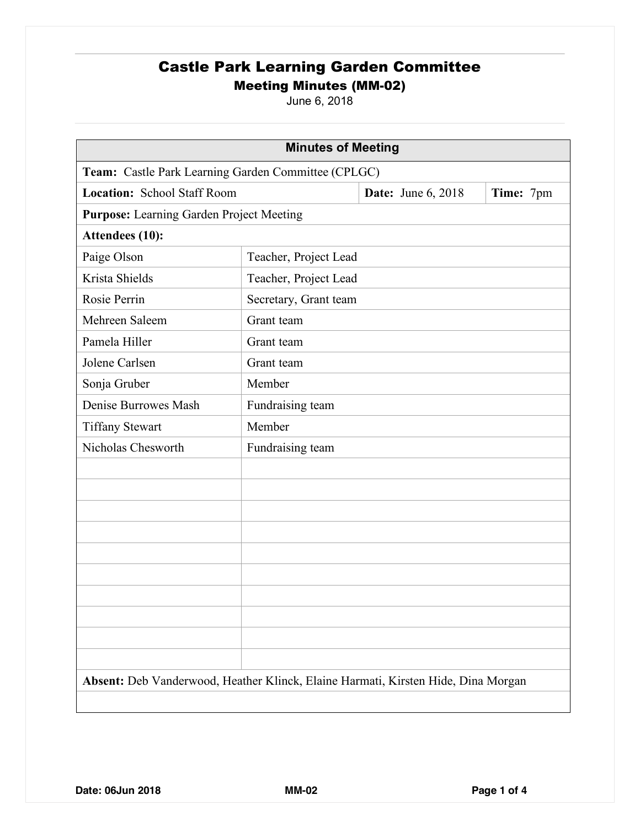June 6, 2018

| <b>Minutes of Meeting</b>                                                         |                       |                           |           |  |
|-----------------------------------------------------------------------------------|-----------------------|---------------------------|-----------|--|
| Team: Castle Park Learning Garden Committee (CPLGC)                               |                       |                           |           |  |
| Location: School Staff Room                                                       |                       | <b>Date:</b> June 6, 2018 | Time: 7pm |  |
| <b>Purpose:</b> Learning Garden Project Meeting                                   |                       |                           |           |  |
| Attendees (10):                                                                   |                       |                           |           |  |
| Paige Olson                                                                       | Teacher, Project Lead |                           |           |  |
| Krista Shields                                                                    | Teacher, Project Lead |                           |           |  |
| Rosie Perrin                                                                      | Secretary, Grant team |                           |           |  |
| Mehreen Saleem                                                                    | Grant team            |                           |           |  |
| Pamela Hiller                                                                     | Grant team            |                           |           |  |
| Jolene Carlsen                                                                    | Grant team            |                           |           |  |
| Sonja Gruber                                                                      | Member                |                           |           |  |
| Denise Burrowes Mash                                                              | Fundraising team      |                           |           |  |
| <b>Tiffany Stewart</b>                                                            | Member                |                           |           |  |
| Nicholas Chesworth                                                                | Fundraising team      |                           |           |  |
|                                                                                   |                       |                           |           |  |
|                                                                                   |                       |                           |           |  |
|                                                                                   |                       |                           |           |  |
|                                                                                   |                       |                           |           |  |
|                                                                                   |                       |                           |           |  |
|                                                                                   |                       |                           |           |  |
|                                                                                   |                       |                           |           |  |
|                                                                                   |                       |                           |           |  |
|                                                                                   |                       |                           |           |  |
|                                                                                   |                       |                           |           |  |
| Absent: Deb Vanderwood, Heather Klinck, Elaine Harmati, Kirsten Hide, Dina Morgan |                       |                           |           |  |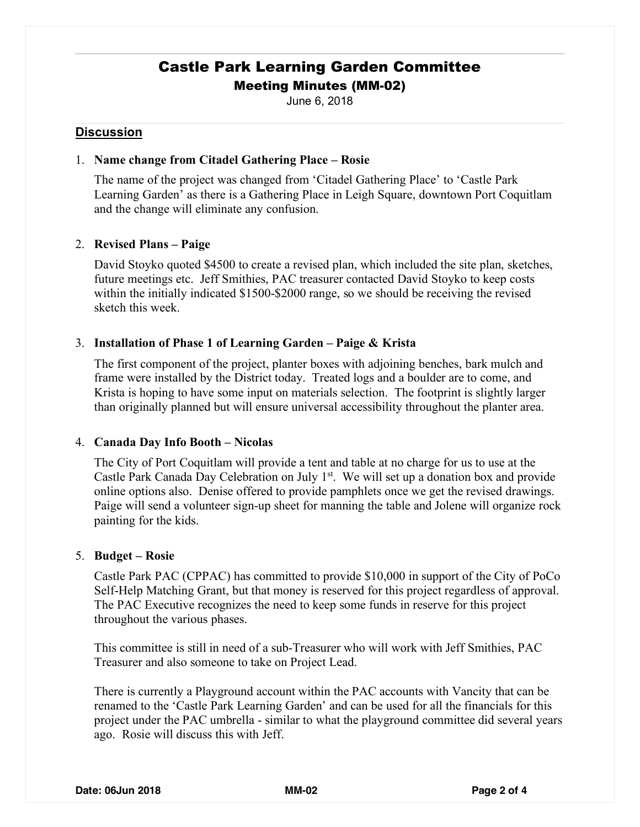June 6, 2018

### **Discussion**

### 1. **Name change from Citadel Gathering Place – Rosie**

The name of the project was changed from 'Citadel Gathering Place' to 'Castle Park Learning Garden' as there is a Gathering Place in Leigh Square, downtown Port Coquitlam and the change will eliminate any confusion.

### 2. **Revised Plans – Paige**

David Stoyko quoted \$4500 to create a revised plan, which included the site plan, sketches, future meetings etc. Jeff Smithies, PAC treasurer contacted David Stoyko to keep costs within the initially indicated \$1500-\$2000 range, so we should be receiving the revised sketch this week.

### 3. **Installation of Phase 1 of Learning Garden – Paige & Krista**

The first component of the project, planter boxes with adjoining benches, bark mulch and frame were installed by the District today. Treated logs and a boulder are to come, and Krista is hoping to have some input on materials selection. The footprint is slightly larger than originally planned but will ensure universal accessibility throughout the planter area.

### 4. **Canada Day Info Booth – Nicolas**

The City of Port Coquitlam will provide a tent and table at no charge for us to use at the Castle Park Canada Day Celebration on July 1<sup>st</sup>. We will set up a donation box and provide online options also. Denise offered to provide pamphlets once we get the revised drawings. Paige will send a volunteer sign-up sheet for manning the table and Jolene will organize rock painting for the kids.

#### 5. **Budget – Rosie**

Castle Park PAC (CPPAC) has committed to provide \$10,000 in support of the City of PoCo Self-Help Matching Grant, but that money is reserved for this project regardless of approval. The PAC Executive recognizes the need to keep some funds in reserve for this project throughout the various phases.

This committee is still in need of a sub-Treasurer who will work with Jeff Smithies, PAC Treasurer and also someone to take on Project Lead.

There is currently a Playground account within the PAC accounts with Vancity that can be renamed to the 'Castle Park Learning Garden' and can be used for all the financials for this project under the PAC umbrella - similar to what the playground committee did several years ago. Rosie will discuss this with Jeff.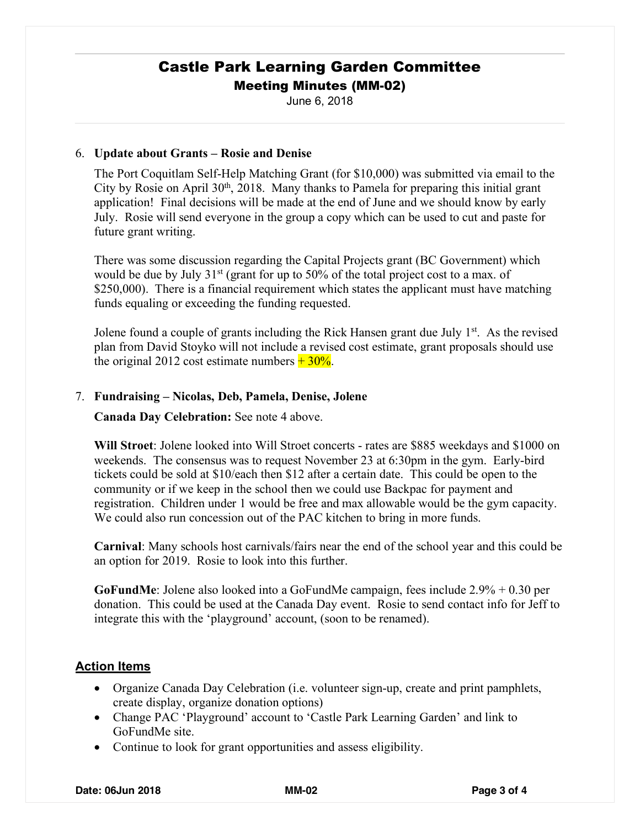June 6, 2018

### 6. **Update about Grants – Rosie and Denise**

The Port Coquitlam Self-Help Matching Grant (for \$10,000) was submitted via email to the City by Rosie on April 30<sup>th</sup>, 2018. Many thanks to Pamela for preparing this initial grant application! Final decisions will be made at the end of June and we should know by early July. Rosie will send everyone in the group a copy which can be used to cut and paste for future grant writing.

There was some discussion regarding the Capital Projects grant (BC Government) which would be due by July  $31<sup>st</sup>$  (grant for up to 50% of the total project cost to a max. of \$250,000). There is a financial requirement which states the applicant must have matching funds equaling or exceeding the funding requested.

Jolene found a couple of grants including the Rick Hansen grant due July  $1<sup>st</sup>$ . As the revised plan from David Stoyko will not include a revised cost estimate, grant proposals should use the original 2012 cost estimate numbers  $+30\%$ .

### 7. **Fundraising – Nicolas, Deb, Pamela, Denise, Jolene**

**Canada Day Celebration:** See note 4 above.

**Will Stroet**: Jolene looked into Will Stroet concerts - rates are \$885 weekdays and \$1000 on weekends. The consensus was to request November 23 at 6:30pm in the gym. Early-bird tickets could be sold at \$10/each then \$12 after a certain date. This could be open to the community or if we keep in the school then we could use Backpac for payment and registration. Children under 1 would be free and max allowable would be the gym capacity. We could also run concession out of the PAC kitchen to bring in more funds.

**Carnival**: Many schools host carnivals/fairs near the end of the school year and this could be an option for 2019. Rosie to look into this further.

**GoFundMe**: Jolene also looked into a GoFundMe campaign, fees include 2.9% + 0.30 per donation. This could be used at the Canada Day event. Rosie to send contact info for Jeff to integrate this with the 'playground' account, (soon to be renamed).

### **Action Items**

- Organize Canada Day Celebration (i.e. volunteer sign-up, create and print pamphlets, create display, organize donation options)
- Change PAC 'Playground' account to 'Castle Park Learning Garden' and link to GoFundMe site.
- Continue to look for grant opportunities and assess eligibility.